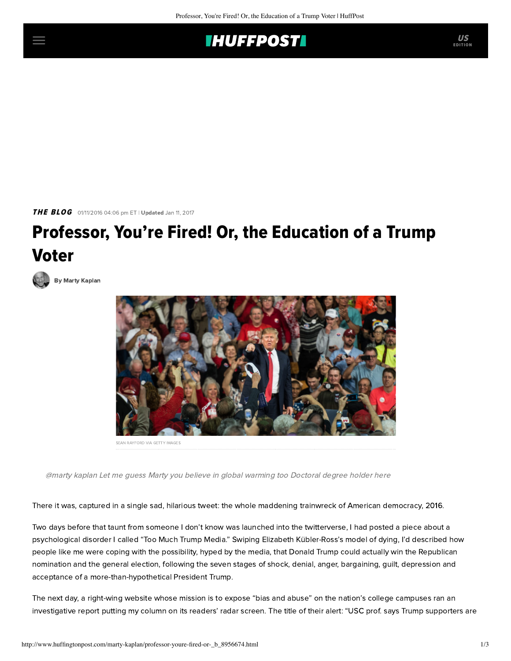# **IHUFFPOSTI**

THE BLOG 01/11/2016 04:06 pm ET | Updated Jan 11, 2017

# Professor, You're Fired! Or, the Education of a Trump Voter



[By Marty Kaplan](http://www.huffingtonpost.com/author/marty-kaplan)



SEAN RAYFORD VIA GETTY IMAGES

@marty kaplan Let me guess Marty you believe in global warming too Doctoral degree holder here

There it was, captured in a single sad, hilarious tweet: the whole maddening trainwreck of American democracy, 2016.

Two days before that taunt from someone I don't know was launched into the twitterverse, I had posted a piece about a psychological disorder I called ["Too Much Trump Media](http://www.jewishjournal.com/marty_kaplan/article/the_7_stages_of_too_much_trump_media_disorder)." Swiping Elizabeth Kübler-Ross's model of dying, I'd described how people like me were coping with the possibility, hyped by the media, that Donald Trump could actually win the Republican nomination and the general election, following the seven stages of shock, denial, anger, bargaining, guilt, depression and acceptance of a more-than-hypothetical President Trump.

The next day, a right-wing website whose mission is to expose "bias and abuse" on the nation's college campuses ran an investigative report putting my column on its readers' radar screen. The title of their alert: "USC prof. says Trump supporters are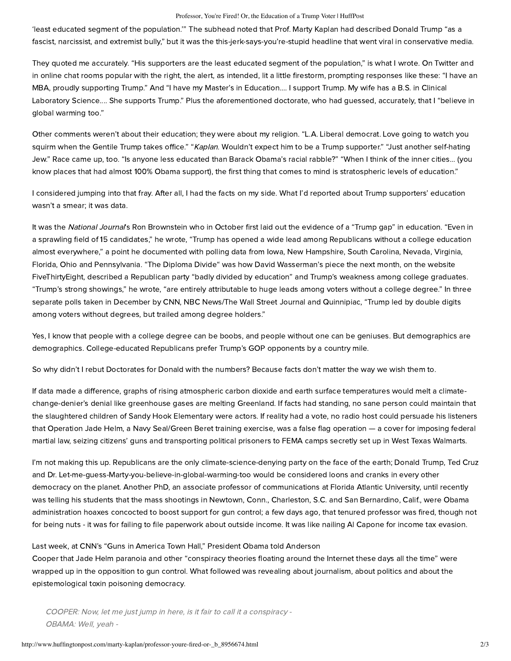#### Professor, You're Fired! Or, the Education of a Trump Voter | HuffPost

'least educated segment of the population.'" The subhead noted that Prof. Marty Kaplan had described Donald Trump "as a fascist, narcissist, and extremist bully," but it was the this-jerk-says-you're-stupid headline that went viral in conservative media.

They quoted me accurately. "His supporters are the least educated segment of the population," is what I wrote. On Twitter and in online chat rooms popular with the right, the alert, as intended, lit a little firestorm, prompting responses like these: "I have an MBA, proudly supporting Trump." And "I have my Master's in Education.... I support Trump. My wife has a B.S. in Clinical Laboratory Science.... She supports Trump." Plus the aforementioned doctorate, who had guessed, accurately, that I "believe in global warming too."

Other comments weren't about their education; they were about my religion. "L.A. Liberal democrat. Love going to watch you squirm when the Gentile Trump takes office." "Kaplan. Wouldn't expect him to be a Trump supporter." "Just another self-hating Jew." Race came up, too. "Is anyone less educated than Barack Obama's racial rabble?" "When I think of the inner cities... (you know places that had almost 100% Obama support), the first thing that comes to mind is stratospheric levels of education."

I considered jumping into that fray. After all, I had the facts on my side. What I'd reported about Trump supporters' education wasn't a smear; it was data.

It was the National Journal's Ron Brownstein who in October first [laid out](http://www.nationaljournal.com/next-america/newsdesk/trump-lead-alienates-white-collar-voters) the evidence of a "Trump gap" in education. "Even in a sprawling field of 15 candidates," he wrote, "Trump has opened a wide lead among Republicans without a college education almost everywhere," a point he documented with polling data from Iowa, New Hampshire, South Carolina, Nevada, Virginia, Florida, Ohio and Pennsylvania. ["The Diploma Divide"](http://fivethirtyeight.com/features/the-key-to-the-gop-race-the-diploma-divide/) was how David Wasserman's piece the next month, on the website FiveThirtyEight, described a Republican party "badly divided by education" and Trump's weakness among college graduates. "Trump's strong showings," he wrote, "are entirely attributable to huge leads among voters without a college degree." In three separate polls taken in December by CNN, NBC News/The Wall Street Journal and Quinnipiac, "Trump led by double digits among voters without degrees, but trailed among degree holders."

Yes, I know that people with a college degree can be boobs, and people without one can be geniuses. But demographics are demographics. College-educated Republicans prefer Trump's GOP opponents by a country mile.

So why didn't I rebut Doctorates for Donald with the numbers? Because facts don't matter the way we wish them to.

If data made a difference, graphs of rising atmospheric carbon dioxide and earth surface temperatures would melt a climatechange-denier's denial like greenhouse gases are melting Greenland. If facts had standing, no sane person could maintain that the slaughtered children of Sandy Hook Elementary were actors. If reality had a vote, no radio host could persuade his listeners that Operation [Jade Helm](http://www.npr.org/sections/itsallpolitics/2015/05/02/403865824/texas-governor-deploys-state-guard-to-stave-off-obama-takeover), a Navy Seal/Green Beret training exercise, was a false flag operation — a cover for imposing federal martial law, seizing citizens' guns and transporting political prisoners to FEMA camps secretly set up in West Texas Walmarts.

I'm not making this up. Republicans are [the only climate-science-denying party](http://www.theguardian.com/environment/climate-consensus-97-per-cent/2015/oct/05/the-republican-party-stands-alone-in-climate-denial) on the face of the earth; Donald Trump, Ted Cruz and Dr. Let-me-guess-Marty-you-believe-in-global-warming-too would be considered [loons and cranks](http://nymag.com/daily/intelligencer/2015/09/whys-gop-only-science-denying-party-on-earth.html) in every other democracy on the planet. Another PhD, an associate professor of communications at Florida Atlantic University, until recently was telling his students that the mass shootings in Newtown, Conn., Charleston, S.C. and San Bernardino, Calif., were Obama administration hoaxes concocted to boost support for gun control; a few days ago, that tenured professor [was fired,](http://www.nytimes.com/2016/01/07/us/florida-professor-who-cast-doubt-on-mass-shootings-is-fired.html?_r=1) though not for being nuts - it was for failing to file paperwork about outside income. It was like nailing Al Capone for income tax evasion.

## Last week, at CNN's "Guns in America Town Hall," President Obama [told](http://www.cnn.com/2016/01/07/politics/transcript-obama-town-hall-guns-in-america/) Anderson

Cooper that Jade Helm paranoia and other "conspiracy theories floating around the Internet these days all the time" were wrapped up in the opposition to gun control. What followed was revealing about journalism, about politics and about the epistemological toxin poisoning democracy.

COOPER: Now, let me just jump in here, is it fair to call it a conspiracy - OBAMA: Well, yeah -